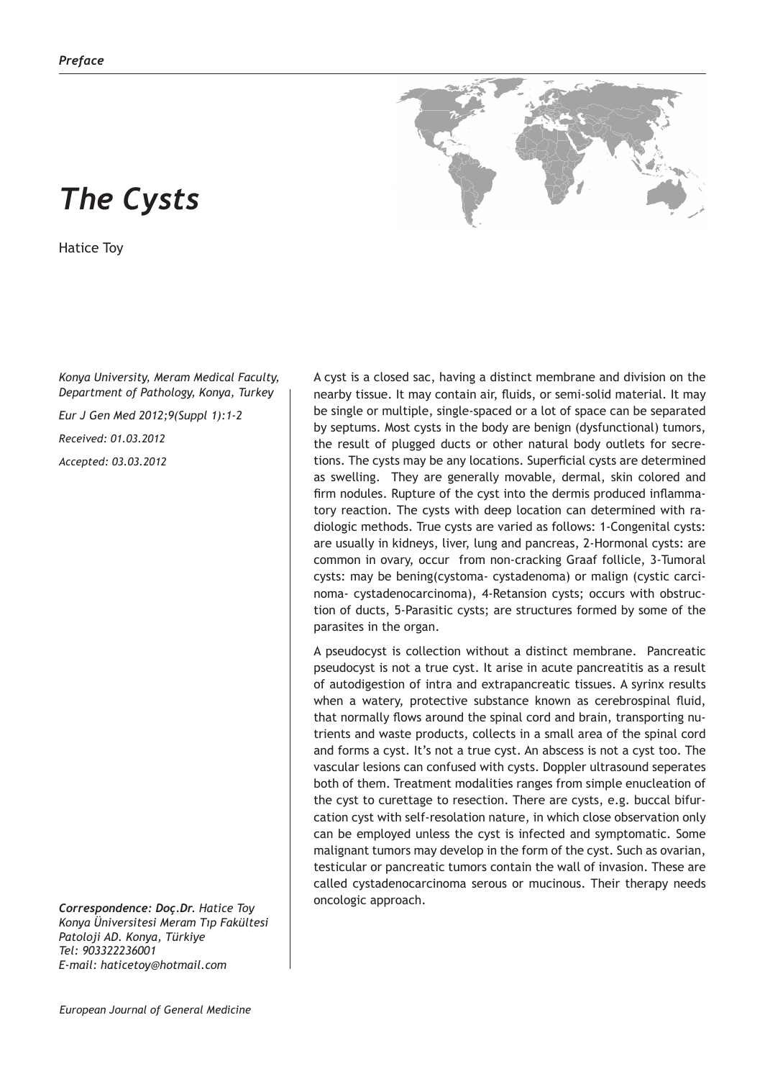## *The Cysts*

Hatice Toy

*Konya University, Meram Medical Faculty, Department of Pathology, Konya, Turkey*

*Eur J Gen Med 2012;9(Suppl 1):1-2*

*Received: 01.03.2012*

*Accepted: 03.03.2012*

*Correspondence: Doç.Dr. Hatice Toy Konya Üniversitesi Meram Tıp Fakültesi Patoloji AD. Konya, Türkiye Tel: 903322236001 E-mail: haticetoy@hotmail.com*

A cyst is a closed sac, having a distinct membrane and division on the nearby tissue. It may contain air, fluids, or semi-solid material. It may be single or multiple, single-spaced or a lot of space can be separated by septums. Most cysts in the body are benign (dysfunctional) tumors, the result of plugged ducts or other natural body outlets for secretions. The cysts may be any locations. Superficial cysts are determined as swelling. They are generally movable, dermal, skin colored and firm nodules. Rupture of the cyst into the dermis produced inflammatory reaction. The cysts with deep location can determined with radiologic methods. True cysts are varied as follows: 1-Congenital cysts: are usually in kidneys, liver, lung and pancreas, 2-Hormonal cysts: are common in ovary, occur from non-cracking Graaf follicle, 3-Tumoral cysts: may be bening(cystoma- cystadenoma) or malign (cystic carcinoma- cystadenocarcinoma), 4-Retansion cysts; occurs with obstruction of ducts, 5-Parasitic cysts; are structures formed by some of the parasites in the organ.

A pseudocyst is collection without a distinct membrane. Pancreatic pseudocyst is not a true cyst. It arise in acute pancreatitis as a result of autodigestion of intra and extrapancreatic tissues. A syrinx results when a watery, protective substance known as cerebrospinal fluid, that normally flows around the spinal cord and brain, transporting nutrients and waste products, collects in a small area of the spinal cord and forms a cyst. It's not a true cyst. An abscess is not a cyst too. The vascular lesions can confused with cysts. Doppler ultrasound seperates both of them. Treatment modalities ranges from simple enucleation of the cyst to curettage to resection. There are cysts, e.g. buccal bifurcation cyst with self-resolation nature, in which close observation only can be employed unless the cyst is infected and symptomatic. Some malignant tumors may develop in the form of the cyst. Such as ovarian, testicular or pancreatic tumors contain the wall of invasion. These are called cystadenocarcinoma serous or mucinous. Their therapy needs oncologic approach.